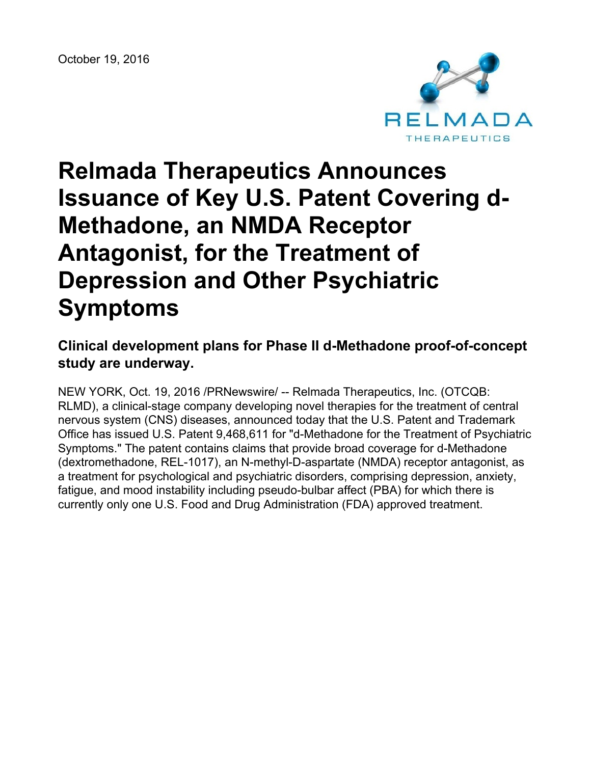

# **Relmada Therapeutics Announces Issuance of Key U.S. Patent Covering d-Methadone, an NMDA Receptor Antagonist, for the Treatment of Depression and Other Psychiatric Symptoms**

## **Clinical development plans for Phase II d-Methadone proof-of-concept study are underway.**

NEW YORK, Oct. 19, 2016 /PRNewswire/ -- Relmada Therapeutics, Inc. (OTCQB: RLMD), a clinical-stage company developing novel therapies for the treatment of central nervous system (CNS) diseases, announced today that the U.S. Patent and Trademark Office has issued U.S. Patent 9,468,611 for "d-Methadone for the Treatment of Psychiatric Symptoms." The patent contains claims that provide broad coverage for d-Methadone (dextromethadone, REL-1017), an N-methyl-D-aspartate (NMDA) receptor antagonist, as a treatment for psychological and psychiatric disorders, comprising depression, anxiety, fatigue, and mood instability including pseudo-bulbar affect (PBA) for which there is currently only one U.S. Food and Drug Administration (FDA) approved treatment.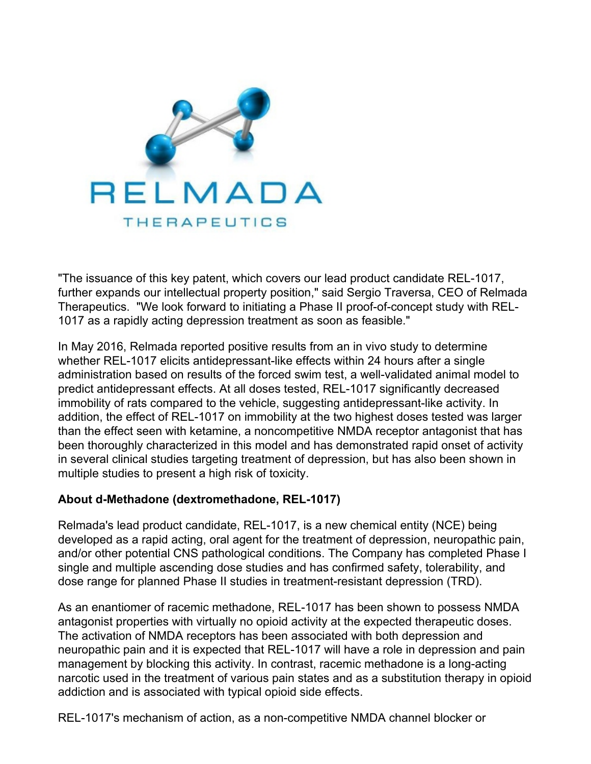

"The issuance of this key patent, which covers our lead product candidate REL-1017, further expands our intellectual property position," said Sergio Traversa, CEO of Relmada Therapeutics. "We look forward to initiating a Phase II proof-of-concept study with REL-1017 as a rapidly acting depression treatment as soon as feasible."

In May 2016, Relmada reported positive results from an in vivo study to determine whether REL-1017 elicits antidepressant-like effects within 24 hours after a single administration based on results of the forced swim test, a well-validated animal model to predict antidepressant effects. At all doses tested, REL-1017 significantly decreased immobility of rats compared to the vehicle, suggesting antidepressant-like activity. In addition, the effect of REL-1017 on immobility at the two highest doses tested was larger than the effect seen with ketamine, a noncompetitive NMDA receptor antagonist that has been thoroughly characterized in this model and has demonstrated rapid onset of activity in several clinical studies targeting treatment of depression, but has also been shown in multiple studies to present a high risk of toxicity.

#### **About d-Methadone (dextromethadone, REL-1017)**

Relmada's lead product candidate, REL-1017, is a new chemical entity (NCE) being developed as a rapid acting, oral agent for the treatment of depression, neuropathic pain, and/or other potential CNS pathological conditions. The Company has completed Phase I single and multiple ascending dose studies and has confirmed safety, tolerability, and dose range for planned Phase II studies in treatment-resistant depression (TRD).

As an enantiomer of racemic methadone, REL-1017 has been shown to possess NMDA antagonist properties with virtually no opioid activity at the expected therapeutic doses. The activation of NMDA receptors has been associated with both depression and neuropathic pain and it is expected that REL-1017 will have a role in depression and pain management by blocking this activity. In contrast, racemic methadone is a long-acting narcotic used in the treatment of various pain states and as a substitution therapy in opioid addiction and is associated with typical opioid side effects.

REL-1017's mechanism of action, as a non-competitive NMDA channel blocker or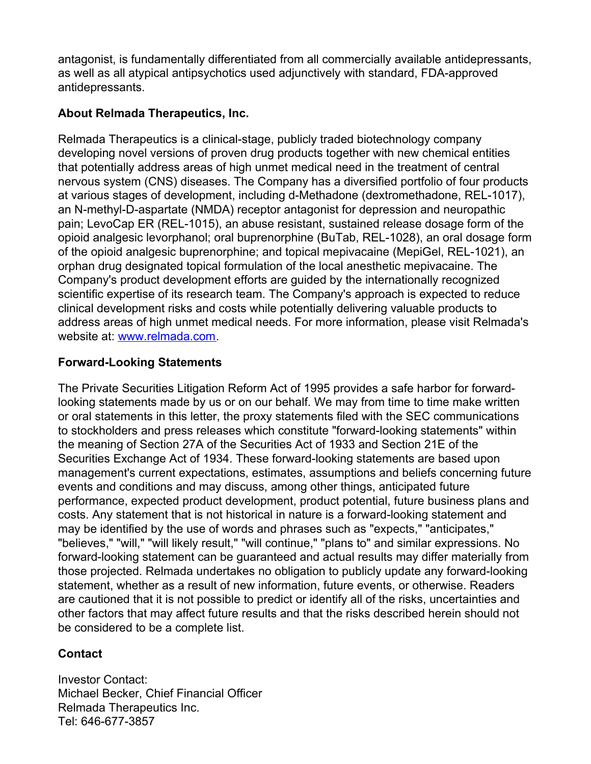antagonist, is fundamentally differentiated from all commercially available antidepressants, as well as all atypical antipsychotics used adjunctively with standard, FDA-approved antidepressants.

### **About Relmada Therapeutics, Inc.**

Relmada Therapeutics is a clinical-stage, publicly traded biotechnology company developing novel versions of proven drug products together with new chemical entities that potentially address areas of high unmet medical need in the treatment of central nervous system (CNS) diseases. The Company has a diversified portfolio of four products at various stages of development, including d-Methadone (dextromethadone, REL-1017), an N-methyl-D-aspartate (NMDA) receptor antagonist for depression and neuropathic pain; LevoCap ER (REL-1015), an abuse resistant, sustained release dosage form of the opioid analgesic levorphanol; oral buprenorphine (BuTab, REL-1028), an oral dosage form of the opioid analgesic buprenorphine; and topical mepivacaine (MepiGel, REL-1021), an orphan drug designated topical formulation of the local anesthetic mepivacaine. The Company's product development efforts are guided by the internationally recognized scientific expertise of its research team. The Company's approach is expected to reduce clinical development risks and costs while potentially delivering valuable products to address areas of high unmet medical needs. For more information, please visit Relmada's website at: [www.relmada.com](http://www.relmada.com/).

## **Forward-Looking Statements**

The Private Securities Litigation Reform Act of 1995 provides a safe harbor for forwardlooking statements made by us or on our behalf. We may from time to time make written or oral statements in this letter, the proxy statements filed with the SEC communications to stockholders and press releases which constitute "forward-looking statements" within the meaning of Section 27A of the Securities Act of 1933 and Section 21E of the Securities Exchange Act of 1934. These forward-looking statements are based upon management's current expectations, estimates, assumptions and beliefs concerning future events and conditions and may discuss, among other things, anticipated future performance, expected product development, product potential, future business plans and costs. Any statement that is not historical in nature is a forward-looking statement and may be identified by the use of words and phrases such as "expects," "anticipates," "believes," "will," "will likely result," "will continue," "plans to" and similar expressions. No forward-looking statement can be guaranteed and actual results may differ materially from those projected. Relmada undertakes no obligation to publicly update any forward-looking statement, whether as a result of new information, future events, or otherwise. Readers are cautioned that it is not possible to predict or identify all of the risks, uncertainties and other factors that may affect future results and that the risks described herein should not be considered to be a complete list.

#### **Contact**

Investor Contact: Michael Becker, Chief Financial Officer Relmada Therapeutics Inc. Tel: 646-677-3857